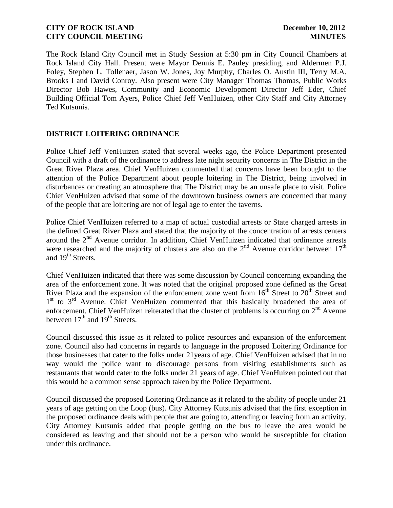The Rock Island City Council met in Study Session at 5:30 pm in City Council Chambers at Rock Island City Hall. Present were Mayor Dennis E. Pauley presiding, and Aldermen P.J. Foley, Stephen L. Tollenaer, Jason W. Jones, Joy Murphy, Charles O. Austin III, Terry M.A. Brooks I and David Conroy. Also present were City Manager Thomas Thomas, Public Works Director Bob Hawes, Community and Economic Development Director Jeff Eder, Chief Building Official Tom Ayers, Police Chief Jeff VenHuizen, other City Staff and City Attorney Ted Kutsunis.

# **DISTRICT LOITERING ORDINANCE**

Police Chief Jeff VenHuizen stated that several weeks ago, the Police Department presented Council with a draft of the ordinance to address late night security concerns in The District in the Great River Plaza area. Chief VenHuizen commented that concerns have been brought to the attention of the Police Department about people loitering in The District, being involved in disturbances or creating an atmosphere that The District may be an unsafe place to visit. Police Chief VenHuizen advised that some of the downtown business owners are concerned that many of the people that are loitering are not of legal age to enter the taverns.

Police Chief VenHuizen referred to a map of actual custodial arrests or State charged arrests in the defined Great River Plaza and stated that the majority of the concentration of arrests centers around the  $2<sup>nd</sup>$  Avenue corridor. In addition, Chief VenHuizen indicated that ordinance arrests were researched and the majority of clusters are also on the  $2<sup>nd</sup>$  Avenue corridor between  $17<sup>th</sup>$ and 19<sup>th</sup> Streets.

Chief VenHuizen indicated that there was some discussion by Council concerning expanding the area of the enforcement zone. It was noted that the original proposed zone defined as the Great River Plaza and the expansion of the enforcement zone went from  $16<sup>th</sup>$  Street to  $20<sup>th</sup>$  Street and 1<sup>st</sup> to 3<sup>rd</sup> Avenue. Chief VenHuizen commented that this basically broadened the area of enforcement. Chief VenHuizen reiterated that the cluster of problems is occurring on 2<sup>nd</sup> Avenue between  $17<sup>th</sup>$  and  $19<sup>th</sup>$  Streets.

Council discussed this issue as it related to police resources and expansion of the enforcement zone. Council also had concerns in regards to language in the proposed Loitering Ordinance for those businesses that cater to the folks under 21years of age. Chief VenHuizen advised that in no way would the police want to discourage persons from visiting establishments such as restaurants that would cater to the folks under 21 years of age. Chief VenHuizen pointed out that this would be a common sense approach taken by the Police Department.

Council discussed the proposed Loitering Ordinance as it related to the ability of people under 21 years of age getting on the Loop (bus). City Attorney Kutsunis advised that the first exception in the proposed ordinance deals with people that are going to, attending or leaving from an activity. City Attorney Kutsunis added that people getting on the bus to leave the area would be considered as leaving and that should not be a person who would be susceptible for citation under this ordinance.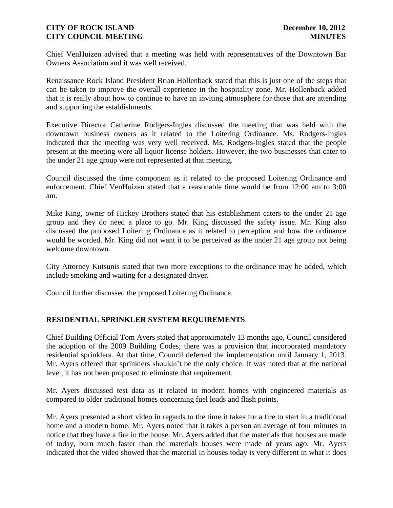Chief VenHuizen advised that a meeting was held with representatives of the Downtown Bar Owners Association and it was well received.

Renaissance Rock Island President Brian Hollenback stated that this is just one of the steps that can be taken to improve the overall experience in the hospitality zone. Mr. Hollenback added that it is really about how to continue to have an inviting atmosphere for those that are attending and supporting the establishments.

Executive Director Catherine Rodgers-Ingles discussed the meeting that was held with the downtown business owners as it related to the Loitering Ordinance. Ms. Rodgers-Ingles indicated that the meeting was very well received. Ms. Rodgers-Ingles stated that the people present at the meeting were all liquor license holders. However, the two businesses that cater to the under 21 age group were not represented at that meeting.

Council discussed the time component as it related to the proposed Loitering Ordinance and enforcement. Chief VenHuizen stated that a reasonable time would be from 12:00 am to 3:00 am.

Mike King, owner of Hickey Brothers stated that his establishment caters to the under 21 age group and they do need a place to go. Mr. King discussed the safety issue. Mr. King also discussed the proposed Loitering Ordinance as it related to perception and how the ordinance would be worded. Mr. King did not want it to be perceived as the under 21 age group not being welcome downtown.

City Attorney Kutsunis stated that two more exceptions to the ordinance may be added, which include smoking and waiting for a designated driver.

Council further discussed the proposed Loitering Ordinance.

## **RESIDENTIAL SPRINKLER SYSTEM REQUIREMENTS**

Chief Building Official Tom Ayers stated that approximately 13 months ago, Council considered the adoption of the 2009 Building Codes; there was a provision that incorporated mandatory residential sprinklers. At that time, Council deferred the implementation until January 1, 2013. Mr. Ayers offered that sprinklers shouldn't be the only choice. It was noted that at the national level, it has not been proposed to eliminate that requirement.

Mr. Ayers discussed test data as it related to modern homes with engineered materials as compared to older traditional homes concerning fuel loads and flash points.

Mr. Ayers presented a short video in regards to the time it takes for a fire to start in a traditional home and a modern home. Mr. Ayers noted that it takes a person an average of four minutes to notice that they have a fire in the house. Mr. Ayers added that the materials that houses are made of today, burn much faster than the materials houses were made of years ago. Mr. Ayers indicated that the video showed that the material in houses today is very different in what it does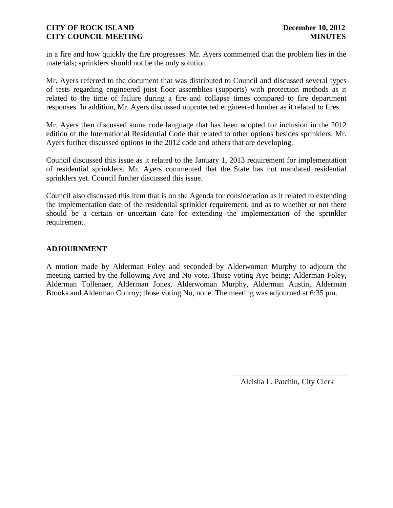in a fire and how quickly the fire progresses. Mr. Ayers commented that the problem lies in the materials; sprinklers should not be the only solution.

Mr. Ayers referred to the document that was distributed to Council and discussed several types of tests regarding engineered joist floor assemblies (supports) with protection methods as it related to the time of failure during a fire and collapse times compared to fire department responses. In addition, Mr. Ayers discussed unprotected engineered lumber as it related to fires.

Mr. Ayers then discussed some code language that has been adopted for inclusion in the 2012 edition of the International Residential Code that related to other options besides sprinklers. Mr. Ayers further discussed options in the 2012 code and others that are developing.

Council discussed this issue as it related to the January 1, 2013 requirement for implementation of residential sprinklers. Mr. Ayers commented that the State has not mandated residential sprinklers yet. Council further discussed this issue.

Council also discussed this item that is on the Agenda for consideration as it related to extending the implementation date of the residential sprinkler requirement, and as to whether or not there should be a certain or uncertain date for extending the implementation of the sprinkler requirement.

# **ADJOURNMENT**

A motion made by Alderman Foley and seconded by Alderwoman Murphy to adjourn the meeting carried by the following Aye and No vote. Those voting Aye being; Alderman Foley, Alderman Tollenaer, Alderman Jones, Alderwoman Murphy, Alderman Austin, Alderman Brooks and Alderman Conroy; those voting No, none. The meeting was adjourned at 6:35 pm.

> \_\_\_\_\_\_\_\_\_\_\_\_\_\_\_\_\_\_\_\_\_\_\_\_\_\_\_\_\_\_ Aleisha L. Patchin, City Clerk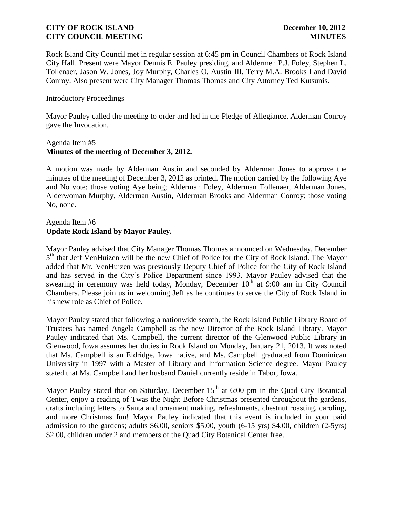Rock Island City Council met in regular session at 6:45 pm in Council Chambers of Rock Island City Hall. Present were Mayor Dennis E. Pauley presiding, and Aldermen P.J. Foley, Stephen L. Tollenaer, Jason W. Jones, Joy Murphy, Charles O. Austin III, Terry M.A. Brooks I and David Conroy. Also present were City Manager Thomas Thomas and City Attorney Ted Kutsunis.

## Introductory Proceedings

Mayor Pauley called the meeting to order and led in the Pledge of Allegiance. Alderman Conroy gave the Invocation.

### Agenda Item #5 **Minutes of the meeting of December 3, 2012.**

A motion was made by Alderman Austin and seconded by Alderman Jones to approve the minutes of the meeting of December 3, 2012 as printed. The motion carried by the following Aye and No vote; those voting Aye being; Alderman Foley, Alderman Tollenaer, Alderman Jones, Alderwoman Murphy, Alderman Austin, Alderman Brooks and Alderman Conroy; those voting No, none.

## Agenda Item #6 **Update Rock Island by Mayor Pauley.**

Mayor Pauley advised that City Manager Thomas Thomas announced on Wednesday, December 5<sup>th</sup> that Jeff VenHuizen will be the new Chief of Police for the City of Rock Island. The Mayor added that Mr. VenHuizen was previously Deputy Chief of Police for the City of Rock Island and has served in the City's Police Department since 1993. Mayor Pauley advised that the swearing in ceremony was held today, Monday, December  $10<sup>th</sup>$  at 9:00 am in City Council Chambers. Please join us in welcoming Jeff as he continues to serve the City of Rock Island in his new role as Chief of Police.

Mayor Pauley stated that following a nationwide search, the Rock Island Public Library Board of Trustees has named Angela Campbell as the new Director of the Rock Island Library. Mayor Pauley indicated that Ms. Campbell, the current director of the Glenwood Public Library in Glenwood, Iowa assumes her duties in Rock Island on Monday, January 21, 2013. It was noted that Ms. Campbell is an Eldridge, Iowa native, and Ms. Campbell graduated from Dominican University in 1997 with a Master of Library and Information Science degree. Mayor Pauley stated that Ms. Campbell and her husband Daniel currently reside in Tabor, Iowa.

Mayor Pauley stated that on Saturday, December  $15<sup>th</sup>$  at 6:00 pm in the Quad City Botanical Center, enjoy a reading of Twas the Night Before Christmas presented throughout the gardens, crafts including letters to Santa and ornament making, refreshments, chestnut roasting, caroling, and more Christmas fun! Mayor Pauley indicated that this event is included in your paid admission to the gardens; adults \$6.00, seniors \$5.00, youth (6-15 yrs) \$4.00, children (2-5yrs) \$2.00, children under 2 and members of the Quad City Botanical Center free.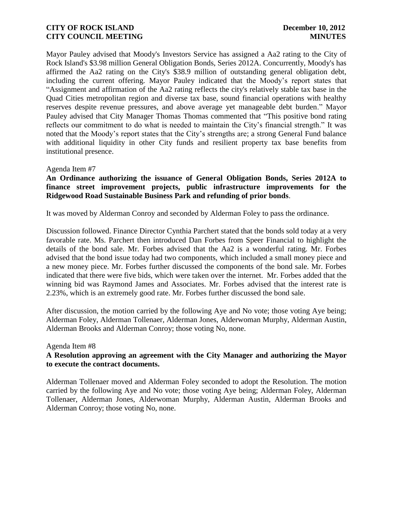Mayor Pauley advised that Moody's Investors Service has assigned a Aa2 rating to the City of Rock Island's \$3.98 million General Obligation Bonds, Series 2012A. Concurrently, Moody's has affirmed the Aa2 rating on the City's \$38.9 million of outstanding general obligation debt, including the current offering. Mayor Pauley indicated that the Moody's report states that "Assignment and affirmation of the Aa2 rating reflects the city's relatively stable tax base in the Quad Cities metropolitan region and diverse tax base, sound financial operations with healthy reserves despite revenue pressures, and above average yet manageable debt burden." Mayor Pauley advised that City Manager Thomas Thomas commented that "This positive bond rating reflects our commitment to do what is needed to maintain the City's financial strength." It was noted that the Moody's report states that the City's strengths are; a strong General Fund balance with additional liquidity in other City funds and resilient property tax base benefits from institutional presence.

## Agenda Item #7

## **An Ordinance authorizing the issuance of General Obligation Bonds, Series 2012A to finance street improvement projects, public infrastructure improvements for the Ridgewood Road Sustainable Business Park and refunding of prior bonds**.

It was moved by Alderman Conroy and seconded by Alderman Foley to pass the ordinance.

Discussion followed. Finance Director Cynthia Parchert stated that the bonds sold today at a very favorable rate. Ms. Parchert then introduced Dan Forbes from Speer Financial to highlight the details of the bond sale. Mr. Forbes advised that the Aa2 is a wonderful rating. Mr. Forbes advised that the bond issue today had two components, which included a small money piece and a new money piece. Mr. Forbes further discussed the components of the bond sale. Mr. Forbes indicated that there were five bids, which were taken over the internet. Mr. Forbes added that the winning bid was Raymond James and Associates. Mr. Forbes advised that the interest rate is 2.23%, which is an extremely good rate. Mr. Forbes further discussed the bond sale.

After discussion, the motion carried by the following Aye and No vote; those voting Aye being; Alderman Foley, Alderman Tollenaer, Alderman Jones, Alderwoman Murphy, Alderman Austin, Alderman Brooks and Alderman Conroy; those voting No, none.

## Agenda Item #8

# **A Resolution approving an agreement with the City Manager and authorizing the Mayor to execute the contract documents.**

Alderman Tollenaer moved and Alderman Foley seconded to adopt the Resolution. The motion carried by the following Aye and No vote; those voting Aye being; Alderman Foley, Alderman Tollenaer, Alderman Jones, Alderwoman Murphy, Alderman Austin, Alderman Brooks and Alderman Conroy; those voting No, none.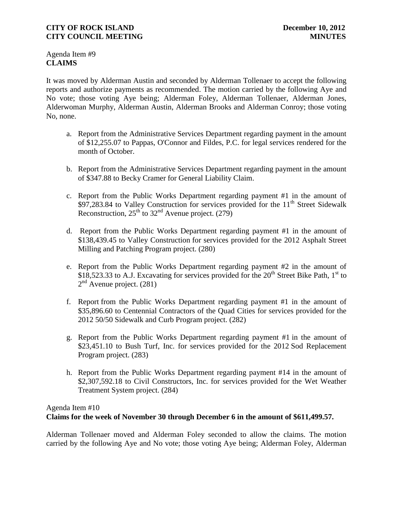Agenda Item #9 **CLAIMS**

It was moved by Alderman Austin and seconded by Alderman Tollenaer to accept the following reports and authorize payments as recommended. The motion carried by the following Aye and No vote; those voting Aye being; Alderman Foley, Alderman Tollenaer, Alderman Jones, Alderwoman Murphy, Alderman Austin, Alderman Brooks and Alderman Conroy; those voting No, none.

- a. Report from the Administrative Services Department regarding payment in the amount of \$12,255.07 to Pappas, O'Connor and Fildes, P.C. for legal services rendered for the month of October.
- b. Report from the Administrative Services Department regarding payment in the amount of \$347.88 to Becky Cramer for General Liability Claim.
- c. Report from the Public Works Department regarding payment #1 in the amount of  $$97,283.84$  to Valley Construction for services provided for the 11<sup>th</sup> Street Sidewalk Reconstruction,  $25<sup>th</sup>$  to  $32<sup>nd</sup>$  Avenue project. (279)
- d. Report from the Public Works Department regarding payment #1 in the amount of \$138,439.45 to Valley Construction for services provided for the 2012 Asphalt Street Milling and Patching Program project. (280)
- e. Report from the Public Works Department regarding payment #2 in the amount of \$18,523.33 to A.J. Excavating for services provided for the  $20<sup>th</sup>$  Street Bike Path, 1<sup>st</sup> to  $2<sup>nd</sup>$  Avenue project. (281)
- f. Report from the Public Works Department regarding payment #1 in the amount of \$35,896.60 to Centennial Contractors of the Quad Cities for services provided for the 2012 50/50 Sidewalk and Curb Program project. (282)
- g. Report from the Public Works Department regarding payment #1 in the amount of \$23,451.10 to Bush Turf, Inc. for services provided for the 2012 Sod Replacement Program project. (283)
- h. Report from the Public Works Department regarding payment #14 in the amount of \$2,307,592.18 to Civil Constructors, Inc. for services provided for the Wet Weather Treatment System project. (284)

Agenda Item #10

# **Claims for the week of November 30 through December 6 in the amount of \$611,499.57.**

Alderman Tollenaer moved and Alderman Foley seconded to allow the claims. The motion carried by the following Aye and No vote; those voting Aye being; Alderman Foley, Alderman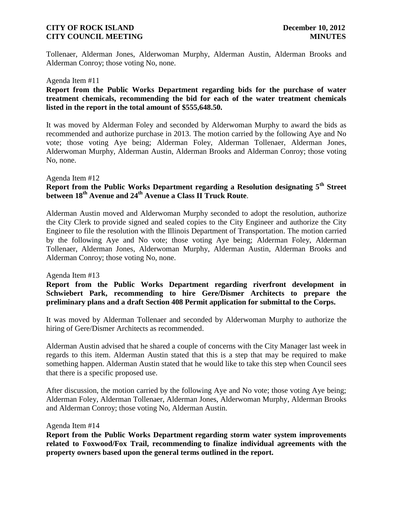Tollenaer, Alderman Jones, Alderwoman Murphy, Alderman Austin, Alderman Brooks and Alderman Conroy; those voting No, none.

### Agenda Item #11

## **Report from the Public Works Department regarding bids for the purchase of water treatment chemicals, recommending the bid for each of the water treatment chemicals listed in the report in the total amount of \$555,648.50.**

It was moved by Alderman Foley and seconded by Alderwoman Murphy to award the bids as recommended and authorize purchase in 2013. The motion carried by the following Aye and No vote; those voting Aye being; Alderman Foley, Alderman Tollenaer, Alderman Jones, Alderwoman Murphy, Alderman Austin, Alderman Brooks and Alderman Conroy; those voting No, none.

### Agenda Item #12

# **Report from the Public Works Department regarding a Resolution designating 5th Street between 18th Avenue and 24th Avenue a Class II Truck Route**.

Alderman Austin moved and Alderwoman Murphy seconded to adopt the resolution, authorize the City Clerk to provide signed and sealed copies to the City Engineer and authorize the City Engineer to file the resolution with the Illinois Department of Transportation. The motion carried by the following Aye and No vote; those voting Aye being; Alderman Foley, Alderman Tollenaer, Alderman Jones, Alderwoman Murphy, Alderman Austin, Alderman Brooks and Alderman Conroy; those voting No, none.

### Agenda Item #13

**Report from the Public Works Department regarding riverfront development in Schwiebert Park, recommending to hire Gere/Dismer Architects to prepare the preliminary plans and a draft Section 408 Permit application for submittal to the Corps.** 

It was moved by Alderman Tollenaer and seconded by Alderwoman Murphy to authorize the hiring of Gere/Dismer Architects as recommended.

Alderman Austin advised that he shared a couple of concerns with the City Manager last week in regards to this item. Alderman Austin stated that this is a step that may be required to make something happen. Alderman Austin stated that he would like to take this step when Council sees that there is a specific proposed use.

After discussion, the motion carried by the following Aye and No vote; those voting Aye being; Alderman Foley, Alderman Tollenaer, Alderman Jones, Alderwoman Murphy, Alderman Brooks and Alderman Conroy; those voting No, Alderman Austin.

### Agenda Item #14

**Report from the Public Works Department regarding storm water system improvements related to Foxwood/Fox Trail, recommending to finalize individual agreements with the property owners based upon the general terms outlined in the report.**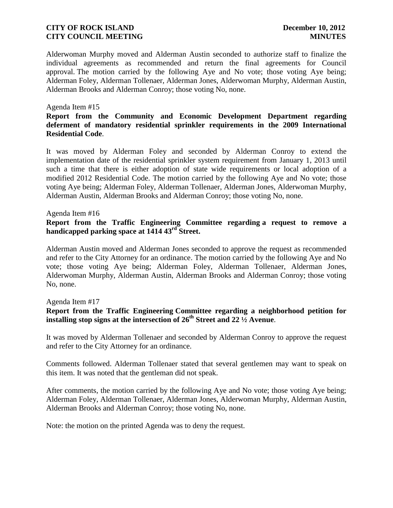Alderwoman Murphy moved and Alderman Austin seconded to authorize staff to finalize the individual agreements as recommended and return the final agreements for Council approval. The motion carried by the following Aye and No vote; those voting Aye being; Alderman Foley, Alderman Tollenaer, Alderman Jones, Alderwoman Murphy, Alderman Austin, Alderman Brooks and Alderman Conroy; those voting No, none.

### Agenda Item #15

## **Report from the Community and Economic Development Department regarding deferment of mandatory residential sprinkler requirements in the 2009 International Residential Code**.

It was moved by Alderman Foley and seconded by Alderman Conroy to extend the implementation date of the residential sprinkler system requirement from January 1, 2013 until such a time that there is either adoption of state wide requirements or local adoption of a modified 2012 Residential Code. The motion carried by the following Aye and No vote; those voting Aye being; Alderman Foley, Alderman Tollenaer, Alderman Jones, Alderwoman Murphy, Alderman Austin, Alderman Brooks and Alderman Conroy; those voting No, none.

### Agenda Item #16

## **Report from the Traffic Engineering Committee regarding a request to remove a handicapped parking space at 1414 43rd Street.**

Alderman Austin moved and Alderman Jones seconded to approve the request as recommended and refer to the City Attorney for an ordinance. The motion carried by the following Aye and No vote; those voting Aye being; Alderman Foley, Alderman Tollenaer, Alderman Jones, Alderwoman Murphy, Alderman Austin, Alderman Brooks and Alderman Conroy; those voting No, none.

### Agenda Item #17

# **Report from the Traffic Engineering Committee regarding a neighborhood petition for installing stop signs at the intersection of 26th Street and 22 ½ Avenue**.

It was moved by Alderman Tollenaer and seconded by Alderman Conroy to approve the request and refer to the City Attorney for an ordinance.

Comments followed. Alderman Tollenaer stated that several gentlemen may want to speak on this item. It was noted that the gentleman did not speak.

After comments, the motion carried by the following Aye and No vote; those voting Aye being; Alderman Foley, Alderman Tollenaer, Alderman Jones, Alderwoman Murphy, Alderman Austin, Alderman Brooks and Alderman Conroy; those voting No, none.

Note: the motion on the printed Agenda was to deny the request.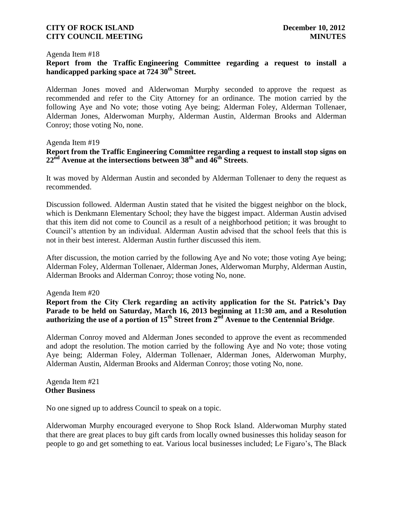### Agenda Item #18

### **Report from the Traffic Engineering Committee regarding a request to install a handicapped parking space at 724 30th Street.**

Alderman Jones moved and Alderwoman Murphy seconded to approve the request as recommended and refer to the City Attorney for an ordinance. The motion carried by the following Aye and No vote; those voting Aye being; Alderman Foley, Alderman Tollenaer, Alderman Jones, Alderwoman Murphy, Alderman Austin, Alderman Brooks and Alderman Conroy; those voting No, none.

### Agenda Item #19

# **Report from the Traffic Engineering Committee regarding a request to install stop signs on 22nd Avenue at the intersections between 38th and 46th Streets**.

It was moved by Alderman Austin and seconded by Alderman Tollenaer to deny the request as recommended.

Discussion followed. Alderman Austin stated that he visited the biggest neighbor on the block, which is Denkmann Elementary School; they have the biggest impact. Alderman Austin advised that this item did not come to Council as a result of a neighborhood petition; it was brought to Council's attention by an individual. Alderman Austin advised that the school feels that this is not in their best interest. Alderman Austin further discussed this item.

After discussion, the motion carried by the following Aye and No vote; those voting Aye being; Alderman Foley, Alderman Tollenaer, Alderman Jones, Alderwoman Murphy, Alderman Austin, Alderman Brooks and Alderman Conroy; those voting No, none.

### Agenda Item #20

**Report from the City Clerk regarding an activity application for the St. Patrick's Day Parade to be held on Saturday, March 16, 2013 beginning at 11:30 am, and a Resolution authorizing the use of a portion of 15th Street from 2nd Avenue to the Centennial Bridge**.

Alderman Conroy moved and Alderman Jones seconded to approve the event as recommended and adopt the resolution. The motion carried by the following Aye and No vote; those voting Aye being; Alderman Foley, Alderman Tollenaer, Alderman Jones, Alderwoman Murphy, Alderman Austin, Alderman Brooks and Alderman Conroy; those voting No, none.

### Agenda Item #21 **Other Business**

No one signed up to address Council to speak on a topic.

Alderwoman Murphy encouraged everyone to Shop Rock Island. Alderwoman Murphy stated that there are great places to buy gift cards from locally owned businesses this holiday season for people to go and get something to eat. Various local businesses included; Le Figaro's, The Black